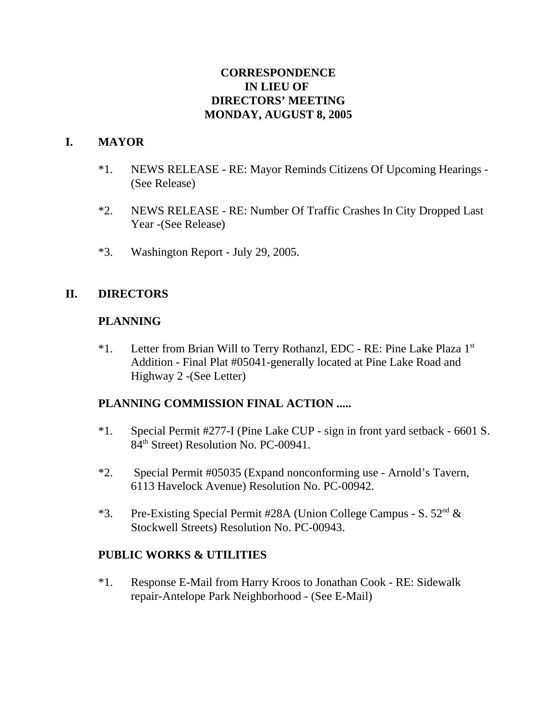### **CORRESPONDENCE IN LIEU OF DIRECTORS' MEETING MONDAY, AUGUST 8, 2005**

### **I. MAYOR**

- \*1. NEWS RELEASE RE: Mayor Reminds Citizens Of Upcoming Hearings (See Release)
- \*2. NEWS RELEASE RE: Number Of Traffic Crashes In City Dropped Last Year -(See Release)
- \*3. Washington Report July 29, 2005.

# **II. DIRECTORS**

### **PLANNING**

\*1. Letter from Brian Will to Terry Rothanzl, EDC - RE: Pine Lake Plaza 1st Addition - Final Plat #05041-generally located at Pine Lake Road and Highway 2 -(See Letter)

### **PLANNING COMMISSION FINAL ACTION .....**

- \*1. Special Permit #277-I (Pine Lake CUP sign in front yard setback 6601 S. 84<sup>th</sup> Street) Resolution No. PC-00941.
- \*2. Special Permit #05035 (Expand nonconforming use Arnold's Tavern, 6113 Havelock Avenue) Resolution No. PC-00942.
- \*3. Pre-Existing Special Permit #28A (Union College Campus S.  $52<sup>nd</sup>$  & Stockwell Streets) Resolution No. PC-00943.

### **PUBLIC WORKS & UTILITIES**

\*1. Response E-Mail from Harry Kroos to Jonathan Cook - RE: Sidewalk repair-Antelope Park Neighborhood - (See E-Mail)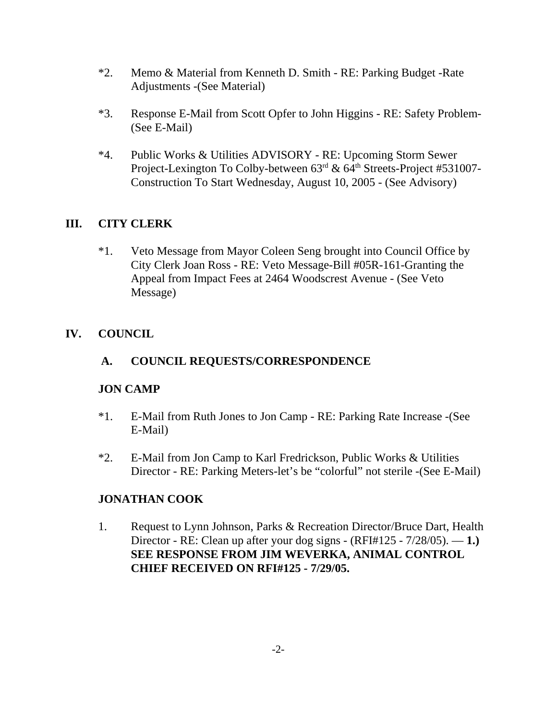- \*2. Memo & Material from Kenneth D. Smith RE: Parking Budget -Rate Adjustments -(See Material)
- \*3. Response E-Mail from Scott Opfer to John Higgins RE: Safety Problem- (See E-Mail)
- \*4. Public Works & Utilities ADVISORY RE: Upcoming Storm Sewer Project-Lexington To Colby-between  $63<sup>rd</sup>$  &  $64<sup>th</sup>$  Streets-Project #531007-Construction To Start Wednesday, August 10, 2005 - (See Advisory)

# **III. CITY CLERK**

\*1. Veto Message from Mayor Coleen Seng brought into Council Office by City Clerk Joan Ross - RE: Veto Message-Bill #05R-161-Granting the Appeal from Impact Fees at 2464 Woodscrest Avenue - (See Veto Message)

# **IV. COUNCIL**

# **A. COUNCIL REQUESTS/CORRESPONDENCE**

### **JON CAMP**

- \*1. E-Mail from Ruth Jones to Jon Camp RE: Parking Rate Increase -(See E-Mail)
- \*2. E-Mail from Jon Camp to Karl Fredrickson, Public Works & Utilities Director - RE: Parking Meters-let's be "colorful" not sterile -(See E-Mail)

### **JONATHAN COOK**

1. Request to Lynn Johnson, Parks & Recreation Director/Bruce Dart, Health Director - RE: Clean up after your dog signs - (RFI#125 - 7/28/05). — **1.) SEE RESPONSE FROM JIM WEVERKA, ANIMAL CONTROL CHIEF RECEIVED ON RFI#125 - 7/29/05.**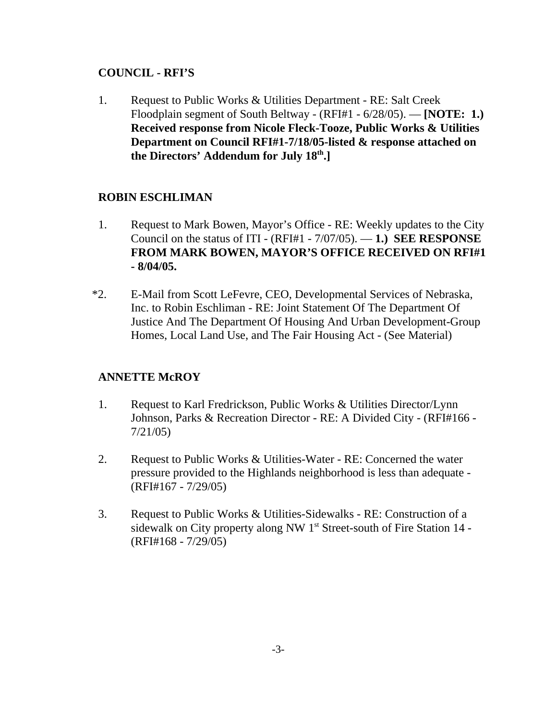### **COUNCIL - RFI'S**

1. Request to Public Works & Utilities Department - RE: Salt Creek Floodplain segment of South Beltway - (RFI#1 - 6/28/05). — **[NOTE: 1.) Received response from Nicole Fleck-Tooze, Public Works & Utilities Department on Council RFI#1-7/18/05-listed & response attached on the Directors' Addendum for July 18th.]** 

# **ROBIN ESCHLIMAN**

- 1. Request to Mark Bowen, Mayor's Office RE: Weekly updates to the City Council on the status of ITI - (RFI#1 - 7/07/05). — **1.) SEE RESPONSE FROM MARK BOWEN, MAYOR'S OFFICE RECEIVED ON RFI#1 - 8/04/05.**
- \*2. E-Mail from Scott LeFevre, CEO, Developmental Services of Nebraska, Inc. to Robin Eschliman - RE: Joint Statement Of The Department Of Justice And The Department Of Housing And Urban Development-Group Homes, Local Land Use, and The Fair Housing Act - (See Material)

# **ANNETTE McROY**

- 1. Request to Karl Fredrickson, Public Works & Utilities Director/Lynn Johnson, Parks & Recreation Director - RE: A Divided City - (RFI#166 - 7/21/05)
- 2. Request to Public Works & Utilities-Water RE: Concerned the water pressure provided to the Highlands neighborhood is less than adequate - (RFI#167 - 7/29/05)
- 3. Request to Public Works & Utilities-Sidewalks RE: Construction of a sidewalk on City property along NW 1<sup>st</sup> Street-south of Fire Station 14 -(RFI#168 - 7/29/05)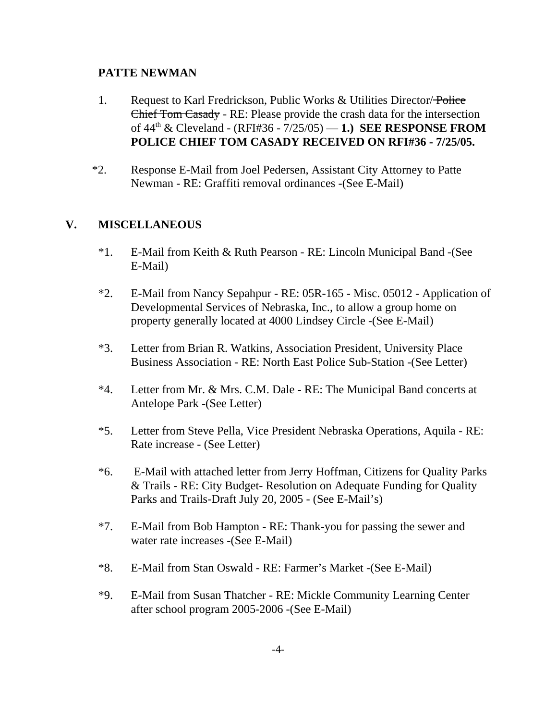#### **PATTE NEWMAN**

- 1. Request to Karl Fredrickson, Public Works & Utilities Director/Police Chief Tom Casady - RE: Please provide the crash data for the intersection of 44th & Cleveland - (RFI#36 - 7/25/05) — **1.) SEE RESPONSE FROM POLICE CHIEF TOM CASADY RECEIVED ON RFI#36 - 7/25/05.**
- \*2. Response E-Mail from Joel Pedersen, Assistant City Attorney to Patte Newman - RE: Graffiti removal ordinances -(See E-Mail)

### **V. MISCELLANEOUS**

- \*1. E-Mail from Keith & Ruth Pearson RE: Lincoln Municipal Band -(See E-Mail)
- \*2. E-Mail from Nancy Sepahpur RE: 05R-165 Misc. 05012 Application of Developmental Services of Nebraska, Inc., to allow a group home on property generally located at 4000 Lindsey Circle -(See E-Mail)
- \*3. Letter from Brian R. Watkins, Association President, University Place Business Association - RE: North East Police Sub-Station -(See Letter)
- \*4. Letter from Mr. & Mrs. C.M. Dale RE: The Municipal Band concerts at Antelope Park -(See Letter)
- \*5. Letter from Steve Pella, Vice President Nebraska Operations, Aquila RE: Rate increase - (See Letter)
- \*6. E-Mail with attached letter from Jerry Hoffman, Citizens for Quality Parks & Trails - RE: City Budget- Resolution on Adequate Funding for Quality Parks and Trails-Draft July 20, 2005 - (See E-Mail's)
- \*7. E-Mail from Bob Hampton RE: Thank-you for passing the sewer and water rate increases -(See E-Mail)
- \*8. E-Mail from Stan Oswald RE: Farmer's Market -(See E-Mail)
- \*9. E-Mail from Susan Thatcher RE: Mickle Community Learning Center after school program 2005-2006 -(See E-Mail)